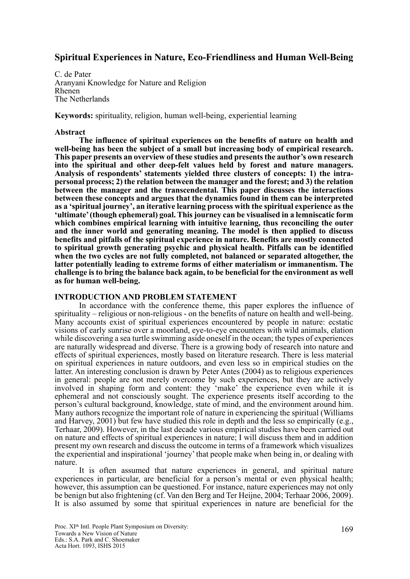# **Spiritual Experiences in Nature, Eco-Friendliness and Human Well-Being**

C. de Pater Aranyani Knowledge for Nature and Religion Rhenen The Netherlands

**Keywords:** spirituality, religion, human well-being, experiential learning

## **Abstract**

**The influence of spiritual experiences on the benefits of nature on health and well-being has been the subject of a small but increasing body of empirical research. This paper presents an overview of these studies and presents the author's own research into the spiritual and other deep-felt values held by forest and nature managers. Analysis of respondents' statements yielded three clusters of concepts: 1) the intrapersonal process; 2) the relation between the manager and the forest; and 3) the relation between the manager and the transcendental. This paper discusses the interactions between these concepts and argues that the dynamics found in them can be interpreted as a 'spiritual journey', an iterative learning process with the spiritual experience as the 'ultimate' (though ephemeral) goal. This journey can be visualised in a lemniscatic form which combines empirical learning with intuitive learning, thus reconciling the outer and the inner world and generating meaning. The model is then applied to discuss benefits and pitfalls of the spiritual experience in nature. Benefits are mostly connected to spiritual growth generating psychic and physical health. Pitfalls can be identified when the two cycles are not fully completed, not balanced or separated altogether, the latter potentially leading to extreme forms of either materialism or immanentism. The challenge is to bring the balance back again, to be beneficial for the environment as well as for human well-being.** 

### **INTRODUCTION AND PROBLEM STATEMENT**

In accordance with the conference theme, this paper explores the influence of spirituality – religious or non-religious - on the benefits of nature on health and well-being. Many accounts exist of spiritual experiences encountered by people in nature: ecstatic visions of early sunrise over a moorland, eye-to-eye encounters with wild animals, elation while discovering a sea turtle swimming aside oneself in the ocean; the types of experiences are naturally widespread and diverse. There is a growing body of research into nature and effects of spiritual experiences, mostly based on literature research. There is less material on spiritual experiences in nature outdoors, and even less so in empirical studies on the latter. An interesting conclusion is drawn by Peter Antes (2004) as to religious experiences in general: people are not merely overcome by such experiences, but they are actively involved in shaping form and content: they 'make' the experience even while it is ephemeral and not consciously sought. The experience presents itself according to the person's cultural background, knowledge, state of mind, and the environment around him. Many authors recognize the important role of nature in experiencing the spiritual (Williams and Harvey, 2001) but few have studied this role in depth and the less so empirically (e.g., Terhaar, 2009). However, in the last decade various empirical studies have been carried out on nature and effects of spiritual experiences in nature; I will discuss them and in addition present my own research and discuss the outcome in terms of a framework which visualizes the experiential and inspirational 'journey' that people make when being in, or dealing with nature.

It is often assumed that nature experiences in general, and spiritual nature experiences in particular, are beneficial for a person's mental or even physical health; however, this assumption can be questioned. For instance, nature experiences may not only be benign but also frightening (cf. Van den Berg and Ter Heijne, 2004; Terhaar 2006, 2009). It is also assumed by some that spiritual experiences in nature are beneficial for the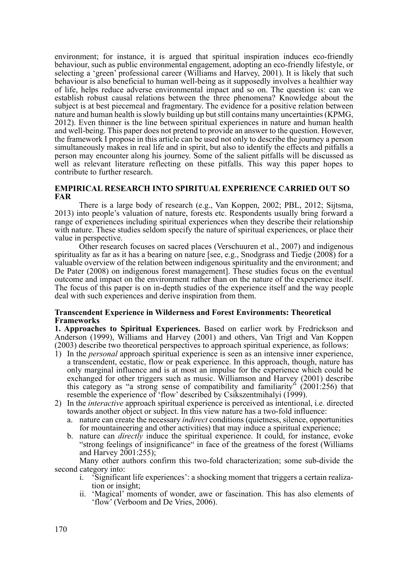environment; for instance, it is argued that spiritual inspiration induces eco-friendly behaviour, such as public environmental engagement, adopting an eco-friendly lifestyle, or selecting a 'green' professional career (Williams and Harvey, 2001). It is likely that such behaviour is also beneficial to human well-being as it supposedly involves a healthier way of life, helps reduce adverse environmental impact and so on. The question is: can we establish robust causal relations between the three phenomena? Knowledge about the subject is at best piecemeal and fragmentary. The evidence for a positive relation between nature and human health is slowly building up but still contains many uncertainties (KPMG, 2012). Even thinner is the line between spiritual experiences in nature and human health and well-being. This paper does not pretend to provide an answer to the question. However, the framework I propose in this article can be used not only to describe the journey a person simultaneously makes in real life and in spirit, but also to identify the effects and pitfalls a person may encounter along his journey. Some of the salient pitfalls will be discussed as well as relevant literature reflecting on these pitfalls. This way this paper hopes to contribute to further research.

## **EMPIRICAL RESEARCH INTO SPIRITUAL EXPERIENCE CARRIED OUT SO FAR**

There is a large body of research (e.g., Van Koppen, 2002; PBL, 2012; Sijtsma, 2013) into people's valuation of nature, forests etc. Respondents usually bring forward a range of experiences including spiritual experiences when they describe their relationship with nature. These studies seldom specify the nature of spiritual experiences, or place their value in perspective.

Other research focuses on sacred places (Verschuuren et al., 2007) and indigenous spirituality as far as it has a bearing on nature [see, e.g., Snodgrass and Tiedje (2008) for a valuable overview of the relation between indigenous spirituality and the environment; and De Pater (2008) on indigenous forest management]. These studies focus on the eventual outcome and impact on the environment rather than on the nature of the experience itself. The focus of this paper is on in-depth studies of the experience itself and the way people deal with such experiences and derive inspiration from them.

## **Transcendent Experience in Wilderness and Forest Environments: Theoretical Frameworks**

**1. Approaches to Spiritual Experiences.** Based on earlier work by Fredrickson and Anderson (1999), Williams and Harvey (2001) and others, Van Trigt and Van Koppen (2003) describe two theoretical perspectives to approach spiritual experience, as follows:

- 1) In the *personal* approach spiritual experience is seen as an intensive inner experience, a transcendent, ecstatic, flow or peak experience. In this approach, though, nature has only marginal influence and is at most an impulse for the experience which could be exchanged for other triggers such as music. Williamson and Harvey (2001) describe this category as "a strong sense of compatibility and familiarity"  $(2001:256)$  that resemble the experience of 'flow' described by Csikszentmihalyi (1999).
- 2) In the *interactive* approach spiritual experience is perceived as intentional, i.e. directed towards another object or subject. In this view nature has a two-fold influence:
	- a. nature can create the necessary *indirect* conditions (quietness, silence, opportunities for mountaineering and other activities) that may induce a spiritual experience;
	- b. nature can *directly* induce the spiritual experience. It could, for instance, evoke "strong feelings of insignificance" in face of the greatness of the forest (Williams and Harvey 2001:255);

Many other authors confirm this two-fold characterization; some sub-divide the second category into:

- i. 'Significant life experiences': a shocking moment that triggers a certain realization or insight;
- ii. 'Magical' moments of wonder, awe or fascination. This has also elements of 'flow' (Verboom and De Vries, 2006).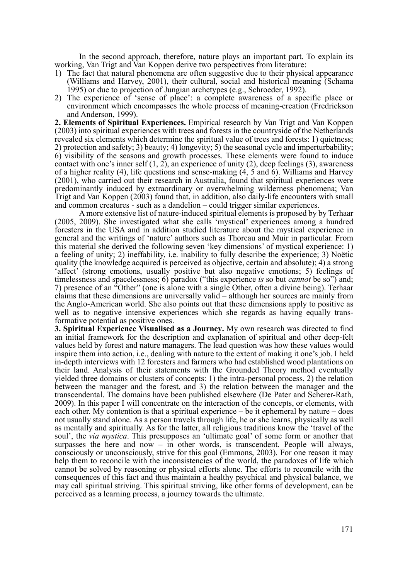In the second approach, therefore, nature plays an important part. To explain its working, Van Trigt and Van Koppen derive two perspectives from literature:

- 1) The fact that natural phenomena are often suggestive due to their physical appearance (Williams and Harvey, 2001), their cultural, social and historical meaning (Schama 1995) or due to projection of Jungian archetypes (e.g., Schroeder, 1992).
- 2) The experience of 'sense of place': a complete awareness of a specific place or environment which encompasses the whole process of meaning-creation (Fredrickson and Anderson, 1999).

**2. Elements of Spiritual Experiences.** Empirical research by Van Trigt and Van Koppen (2003) into spiritual experiences with trees and forests in the countryside of the Netherlands revealed six elements which determine the spiritual value of trees and forests: 1) quietness; 2) protection and safety; 3) beauty; 4) longevity; 5) the seasonal cycle and imperturbability; 6) visibility of the seasons and growth processes. These elements were found to induce contact with one's inner self  $(1, 2)$ , an experience of unity  $(2)$ , deep feelings  $(3)$ , awareness of a higher reality (4), life questions and sense-making (4, 5 and 6). Williams and Harvey (2001), who carried out their research in Australia, found that spiritual experiences were predominantly induced by extraordinary or overwhelming wilderness phenomena; Van Trigt and Van Koppen (2003) found that, in addition, also daily-life encounters with small and common creatures - such as a dandelion – could trigger similar experiences.

A more extensive list of nature-induced spiritual elements is proposed by by Terhaar (2005, 2009). She investigated what she calls 'mystical' experiences among a hundred foresters in the USA and in addition studied literature about the mystical experience in general and the writings of 'nature' authors such as Thoreau and Muir in particular. From this material she derived the following seven 'key dimensions' of mystical experience: 1) a feeling of unity; 2) ineffability, i.e. inability to fully describe the experience; 3) Noëtic quality (the knowledge acquired is perceived as objective, certain and absolute); 4) a strong 'affect' (strong emotions, usually positive but also negative emotions; 5) feelings of timelessness and spacelessness; 6) paradox ("this experience *is* so but *cannot* be so") and; 7) presence of an "Other" (one is alone with a single Other, often a divine being). Terhaar claims that these dimensions are universally valid – although her sources are mainly from the Anglo-American world. She also points out that these dimensions apply to positive as well as to negative intensive experiences which she regards as having equally transformative potential as positive ones.

**3. Spiritual Experience Visualised as a Journey.** My own research was directed to find an initial framework for the description and explanation of spiritual and other deep-felt values held by forest and nature managers. The lead question was how these values would inspire them into action, i.e., dealing with nature to the extent of making it one's job. I held in-depth interviews with 12 foresters and farmers who had established wood plantations on their land. Analysis of their statements with the Grounded Theory method eventually yielded three domains or clusters of concepts: 1) the intra-personal process, 2) the relation between the manager and the forest, and 3) the relation between the manager and the transcendental. The domains have been published elsewhere (De Pater and Scherer-Rath, 2009). In this paper I will concentrate on the interaction of the concepts, or elements, with each other. My contention is that a spiritual experience – be it ephemeral by nature – does not usually stand alone. As a person travels through life, he or she learns, physically as well as mentally and spiritually. As for the latter, all religious traditions know the 'travel of the soul', the *via mystica*. This presupposes an 'ultimate goal' of some form or another that surpasses the here and now – in other words, is transcendent. People will always, consciously or unconsciously, strive for this goal (Emmons, 2003). For one reason it may help them to reconcile with the inconsistencies of the world, the paradoxes of life which cannot be solved by reasoning or physical efforts alone. The efforts to reconcile with the consequences of this fact and thus maintain a healthy psychical and physical balance, we may call spiritual striving. This spiritual striving, like other forms of development, can be perceived as a learning process, a journey towards the ultimate.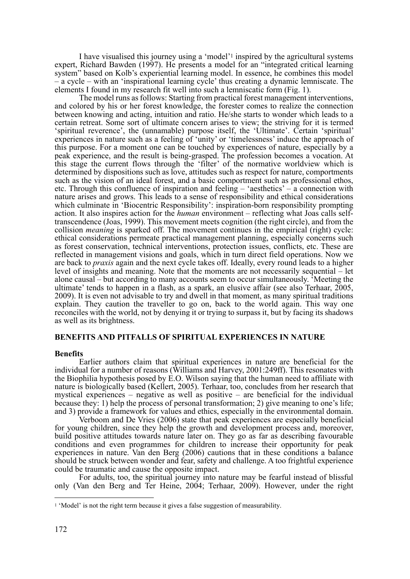I have visualised this journey using a 'model'1 inspired by the agricultural systems expert, Richard Bawden (1997). He presents a model for an "integrated critical learning system" based on Kolb's experiential learning model. In essence, he combines this model – a cycle – with an 'inspirational learning cycle' thus creating a dynamic lemniscate. The elements I found in my research fit well into such a lemniscatic form (Fig. 1).

The model runs as follows: Starting from practical forest management interventions, and colored by his or her forest knowledge, the forester comes to realize the connection between knowing and acting, intuition and ratio. He/she starts to wonder which leads to a certain retreat. Some sort of ultimate concern arises to view; the striving for it is termed 'spiritual reverence', the (unnamable) purpose itself, the 'Ultimate'. Certain 'spiritual' experiences in nature such as a feeling of 'unity' or 'timelessness' induce the approach of this purpose. For a moment one can be touched by experiences of nature, especially by a peak experience, and the result is being-grasped. The profession becomes a vocation. At this stage the current flows through the 'filter' of the normative worldview which is determined by dispositions such as love, attitudes such as respect for nature, comportments such as the vision of an ideal forest, and a basic comportment such as professional ethos, etc. Through this confluence of inspiration and feeling – 'aesthetics' – a connection with nature arises and grows. This leads to a sense of responsibility and ethical considerations which culminate in 'Biocentric Responsibility': inspiration-born responsibility prompting action. It also inspires action for the *human* environment – reflecting what Joas calls selftranscendence (Joas, 1999). This movement meets cognition (the right circle), and from the collision *meaning* is sparked off. The movement continues in the empirical (right) cycle: ethical considerations permeate practical management planning, especially concerns such as forest conservation, technical interventions, protection issues, conflicts, etc. These are reflected in management visions and goals, which in turn direct field operations. Now we are back to *praxis* again and the next cycle takes off. Ideally, every round leads to a higher level of insights and meaning. Note that the moments are not necessarily sequential – let alone causal – but according to many accounts seem to occur simultaneously. 'Meeting the ultimate' tends to happen in a flash, as a spark, an elusive affair (see also Terhaar, 2005, 2009). It is even not advisable to try and dwell in that moment, as many spiritual traditions explain. They caution the traveller to go on, back to the world again. This way one reconciles with the world, not by denying it or trying to surpass it, but by facing its shadows as well as its brightness.

## **BENEFITS AND PITFALLS OF SPIRITUAL EXPERIENCES IN NATURE**

### **Benefits**

Earlier authors claim that spiritual experiences in nature are beneficial for the individual for a number of reasons (Williams and Harvey, 2001:249ff). This resonates with the Biophilia hypothesis posed by E.O. Wilson saying that the human need to affiliate with nature is biologically based (Kellert, 2005). Terhaar, too, concludes from her research that mystical experiences – negative as well as positive – are beneficial for the individual because they: 1) help the process of personal transformation; 2) give meaning to one's life; and 3) provide a framework for values and ethics, especially in the environmental domain.

Verboom and De Vries (2006) state that peak experiences are especially beneficial for young children, since they help the growth and development process and, moreover, build positive attitudes towards nature later on. They go as far as describing favourable conditions and even programmes for children to increase their opportunity for peak experiences in nature. Van den Berg (2006) cautions that in these conditions a balance should be struck between wonder and fear, safety and challenge. A too frightful experience could be traumatic and cause the opposite impact.

For adults, too, the spiritual journey into nature may be fearful instead of blissful only (Van den Berg and Ter Heine, 2004; Terhaar, 2009). However, under the right

 $\overline{a}$ 

<sup>1 &#</sup>x27;Model' is not the right term because it gives a false suggestion of measurability.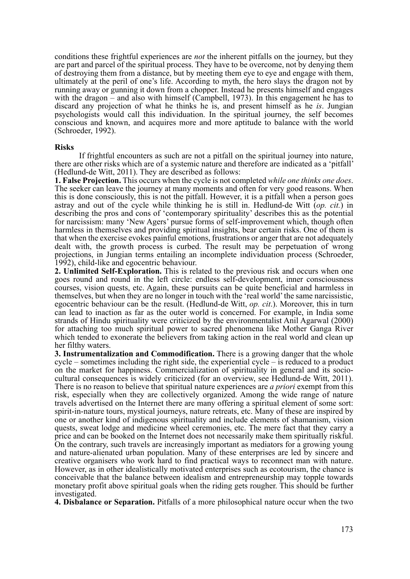conditions these frightful experiences are *not* the inherent pitfalls on the journey, but they are part and parcel of the spiritual process. They have to be overcome, not by denying them of destroying them from a distance, but by meeting them eye to eye and engage with them, ultimately at the peril of one's life. According to myth, the hero slays the dragon not by running away or gunning it down from a chopper. Instead he presents himself and engages with the dragon – and also with himself (Campbell, 1973). In this engagement he has to discard any projection of what he thinks he is, and present himself as he *is*. Jungian psychologists would call this individuation. In the spiritual journey, the self becomes conscious and known, and acquires more and more aptitude to balance with the world (Schroeder, 1992).

#### **Risks**

If frightful encounters as such are not a pitfall on the spiritual journey into nature, there are other risks which are of a systemic nature and therefore are indicated as a 'pitfall' (Hedlund-de Witt, 2011). They are described as follows:

**1. False Projection.** This occurs when the cycle is not completed *while one thinks one does*. The seeker can leave the journey at many moments and often for very good reasons. When this is done consciously, this is not the pitfall. However, it is a pitfall when a person goes astray and out of the cycle while thinking he is still in. Hedlund-de Witt (*op. cit.*) in describing the pros and cons of 'contemporary spirituality' describes this as the potential for narcissism: many 'New Agers' pursue forms of self-improvement which, though often harmless in themselves and providing spiritual insights, bear certain risks. One of them is that when the exercise evokes painful emotions, frustrations or anger that are not adequately dealt with, the growth process is curbed. The result may be perpetuation of wrong projections, in Jungian terms entailing an incomplete individuation process (Schroeder, 1992), child-like and egocentric behaviour.

**2. Unlimited Self-Exploration.** This is related to the previous risk and occurs when one goes round and round in the left circle: endless self-development, inner consciousness courses, vision quests, etc. Again, these pursuits can be quite beneficial and harmless in themselves, but when they are no longer in touch with the 'real world' the same narcissistic, egocentric behaviour can be the result. (Hedlund-de Witt, *op. cit*.). Moreover, this in turn can lead to inaction as far as the outer world is concerned. For example, in India some strands of Hindu spirituality were criticized by the environmentalist Anil Agarwal (2000) for attaching too much spiritual power to sacred phenomena like Mother Ganga River which tended to exonerate the believers from taking action in the real world and clean up her filthy waters.

**3. Instrumentalization and Commodification.** There is a growing danger that the whole cycle – sometimes including the right side, the experiential cycle – is reduced to a product on the market for happiness. Commercialization of spirituality in general and its sociocultural consequences is widely criticized (for an overview, see Hedlund-de Witt, 2011). There is no reason to believe that spiritual nature experiences are *a priori* exempt from this risk, especially when they are collectively organized. Among the wide range of nature travels advertised on the Internet there are many offering a spiritual element of some sort: spirit-in-nature tours, mystical journeys, nature retreats, etc. Many of these are inspired by one or another kind of indigenous spirituality and include elements of shamanism, vision quests, sweat lodge and medicine wheel ceremonies, etc. The mere fact that they carry a price and can be booked on the Internet does not necessarily make them spiritually riskful. On the contrary, such travels are increasingly important as mediators for a growing young and nature-alienated urban population. Many of these enterprises are led by sincere and creative organisers who work hard to find practical ways to reconnect man with nature. However, as in other idealistically motivated enterprises such as ecotourism, the chance is conceivable that the balance between idealism and entrepreneurship may topple towards monetary profit above spiritual goals when the riding gets rougher. This should be further investigated.

**4. Disbalance or Separation.** Pitfalls of a more philosophical nature occur when the two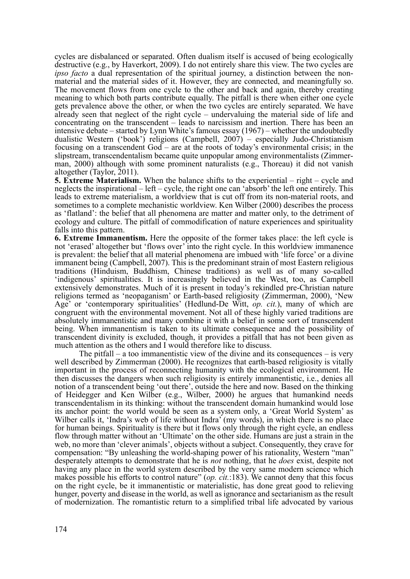cycles are disbalanced or separated. Often dualism itself is accused of being ecologically destructive (e.g., by Haverkort, 2009). I do not entirely share this view. The two cycles are *ipso facto* a dual representation of the spiritual journey, a distinction between the nonmaterial and the material sides of it. However, they are connected, and meaningfully so. The movement flows from one cycle to the other and back and again, thereby creating meaning to which both parts contribute equally. The pitfall is there when either one cycle gets prevalence above the other, or when the two cycles are entirely separated. We have already seen that neglect of the right cycle – undervaluing the material side of life and concentrating on the transcendent – leads to narcissism and inertion. There has been an intensive debate – started by Lynn White's famous essay (1967) – whether the undoubtedly dualistic Western ('book') religions (Campbell, 2007) – especially Judo-Christianism focusing on a transcendent God – are at the roots of today's environmental crisis; in the slipstream, transcendentalism became quite unpopular among environmentalists (Zimmerman, 2000) although with some prominent naturalists (e.g., Thoreau) it did not vanish altogether (Taylor, 2011).

**5. Extreme Materialism.** When the balance shifts to the experiential – right – cycle and neglects the inspirational – left – cycle, the right one can 'absorb' the left one entirely. This leads to extreme materialism, a worldview that is cut off from its non-material roots, and sometimes to a complete mechanistic worldview. Ken Wilber (2000) describes the process as 'flatland': the belief that all phenomena are matter and matter only, to the detriment of ecology and culture. The pitfall of commodification of nature experiences and spirituality falls into this pattern.

**6. Extreme Immanentism.** Here the opposite of the former takes place: the left cycle is not 'erased' altogether but 'flows over' into the right cycle. In this worldview immanence is prevalent: the belief that all material phenomena are imbued with 'life force' or a divine immanent being (Campbell, 2007). This is the predominant strain of most Eastern religious traditions (Hinduism, Buddhism, Chinese traditions) as well as of many so-called 'indigenous' spiritualities. It is increasingly believed in the West, too, as Campbell extensively demonstrates. Much of it is present in today's rekindled pre-Christian nature religions termed as 'neopaganism' or Earth-based religiosity (Zimmerman, 2000), 'New Age' or 'contemporary spiritualities' (Hedlund-De Witt, *op. cit.*), many of which are congruent with the environmental movement. Not all of these highly varied traditions are absolutely immanentistic and many combine it with a belief in some sort of transcendent being. When immanentism is taken to its ultimate consequence and the possibility of transcendent divinity is excluded, though, it provides a pitfall that has not been given as much attention as the others and I would therefore like to discuss.

The pitfall – a too immanentistic view of the divine and its consequences – is very well described by Zimmerman (2000). He recognizes that earth-based religiosity is vitally important in the process of reconnecting humanity with the ecological environment. He then discusses the dangers when such religiosity is entirely immanentistic, i.e., denies all notion of a transcendent being 'out there', outside the here and now. Based on the thinking of Heidegger and Ken Wilber (e.g., Wilber, 2000) he argues that humankind needs transcendentalism in its thinking: without the transcendent domain humankind would lose its anchor point: the world would be seen as a system only, a 'Great World System' as Wilber calls it, 'Indra's web of life without Indra' (my words), in which there is no place for human beings. Spirituality is there but it flows only through the right cycle, an endless flow through matter without an 'Ultimate' on the other side. Humans are just a strain in the web, no more than 'clever animals', objects without a subject. Consequently, they crave for compensation: "By unleashing the world-shaping power of his rationality, Western "man" desperately attempts to demonstrate that he is *not* nothing, that he *does* exist, despite not having any place in the world system described by the very same modern science which makes possible his efforts to control nature" (*op. cit.*:183). We cannot deny that this focus on the right cycle, be it immanentistic or materialistic, has done great good to relieving hunger, poverty and disease in the world, as well as ignorance and sectarianism as the result of modernization. The romantistic return to a simplified tribal life advocated by various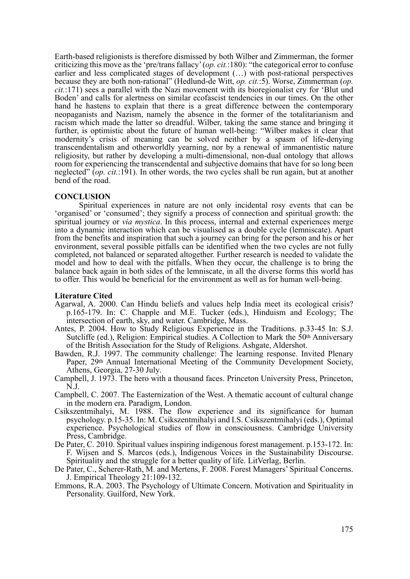Earth-based religionists is therefore dismissed by both Wilber and Zimmerman, the former criticizing this move as the 'pre/trans fallacy' (*op. cit.*:180): "the categorical error to confuse earlier and less complicated stages of development (…) with post-rational perspectives because they are both non-rational" (Hedlund-de Witt, *op. cit.*:5). Worse, Zimmerman (*op. cit.*:171) sees a parallel with the Nazi movement with its bioregionalist cry for 'Blut und Boden' and calls for alertness on similar ecofascist tendencies in our times. On the other hand he hastens to explain that there is a great difference between the contemporary neopaganists and Nazism, namely the absence in the former of the totalitarianism and racism which made the latter so dreadful. Wilber, taking the same stance and bringing it further, is optimistic about the future of human well-being: "Wilber makes it clear that modernity's crisis of meaning can be solved neither by a spasm of life-denying transcendentalism and otherworldly yearning, nor by a renewal of immanentistic nature religiosity, but rather by developing a multi-dimensional, non-dual ontology that allows room for experiencing the transcendental and subjective domains that have for so long been neglected" (*op. cit.*:191). In other words, the two cycles shall be run again, but at another bend of the road.

### **CONCLUSION**

Spiritual experiences in nature are not only incidental rosy events that can be 'organised' or 'consumed'; they signify a process of connection and spiritual growth: the spiritual journey or *via mystica*. In this process, internal and external experiences merge into a dynamic interaction which can be visualised as a double cycle (lemniscate). Apart from the benefits and inspiration that such a journey can bring for the person and his or her environment, several possible pitfalls can be identified when the two cycles are not fully completed, not balanced or separated altogether. Further research is needed to validate the model and how to deal with the pitfalls. When they occur, the challenge is to bring the balance back again in both sides of the lemniscate, in all the diverse forms this world has to offer. This would be beneficial for the environment as well as for human well-being.

### **Literature Cited**

- Agarwal, A. 2000. Can Hindu beliefs and values help India meet its ecological crisis? p.165-179. In: C. Chapple and M.E. Tucker (eds.), Hinduism and Ecology; The intersection of earth, sky, and water. Cambridge, Mass.
- Antes, P. 2004. How to Study Religious Experience in the Traditions. p.33-45 In: S.J. Sutcliffe (ed.), Religion: Empirical studies. A Collection to Mark the 50<sup>th</sup> Anniversary of the British Association for the Study of Religions. Ashgate, Aldershot.
- Bawden, R.J. 1997. The community challenge: The learning response. Invited Plenary Paper, 29th Annual International Meeting of the Community Development Society, Athens, Georgia, 27-30 July.
- Campbell, J. 1973. The hero with a thousand faces. Princeton University Press, Princeton, N.J.
- Campbell, C. 2007. The Easternization of the West. A thematic account of cultural change in the modern era. Paradigm, London.
- Csikszentmihalyi, M. 1988. The flow experience and its significance for human psychology. p.15-35. In: M. Csikszentmihalyi and I.S. Csikszentmihalyi (eds.), Optimal experience. Psychological studies of flow in consciousness. Cambridge University Press, Cambridge.
- De Pater, C. 2010. Spiritual values inspiring indigenous forest management. p.153-172. In: F. Wijsen and S. Marcos (eds.), Indigenous Voices in the Sustainability Discourse. Spirituality and the struggle for a better quality of life. LitVerlag, Berlin.
- De Pater, C., Scherer-Rath, M. and Mertens, F. 2008. Forest Managers' Spiritual Concerns. J. Empirical Theology 21:109-132.
- Emmons, R.A. 2003. The Psychology of Ultimate Concern. Motivation and Spirituality in Personality. Guilford, New York.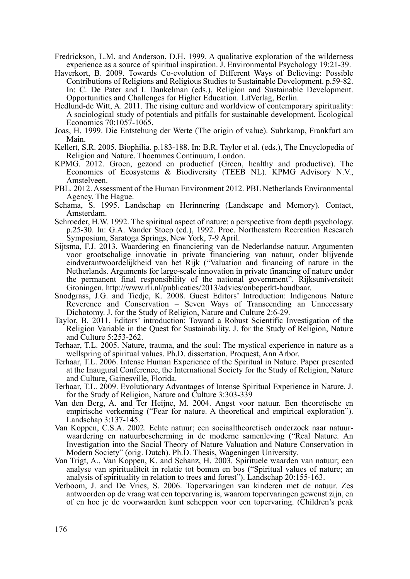- Fredrickson, L.M. and Anderson, D.H. 1999. A qualitative exploration of the wilderness experience as a source of spiritual inspiration. J. Environmental Psychology 19:21-39.
- Haverkort, B. 2009. Towards Co-evolution of Different Ways of Believing: Possible Contributions of Religions and Religious Studies to Sustainable Development. p.59-82. In: C. De Pater and I. Dankelman (eds.), Religion and Sustainable Development. Opportunities and Challenges for Higher Education. LitVerlag, Berlin.
- Hedlund-de Witt, A. 2011. The rising culture and worldview of contemporary spirituality: A sociological study of potentials and pitfalls for sustainable development. Ecological Economics 70:1057-1065.
- Joas, H. 1999. Die Entstehung der Werte (The origin of value). Suhrkamp, Frankfurt am Main.
- Kellert, S.R. 2005. Biophilia. p.183-188. In: B.R. Taylor et al. (eds.), The Encyclopedia of Religion and Nature. Thoemmes Continuum, London.
- KPMG. 2012. Groen, gezond en productief (Green, healthy and productive). The Economics of Ecosystems & Biodiversity (TEEB NL). KPMG Advisory N.V., Amstelveen.
- PBL. 2012. Assessment of the Human Environment 2012. PBL Netherlands Environmental Agency, The Hague.
- Schama, S. 1995. Landschap en Herinnering (Landscape and Memory). Contact, Amsterdam.
- Schroeder, H.W. 1992. The spiritual aspect of nature: a perspective from depth psychology. p.25-30. In: G.A. Vander Stoep (ed.), 1992. Proc. Northeastern Recreation Research Symposium, Saratoga Springs, New York, 7-9 April.
- Sijtsma, F.J. 2013. Waardering en financiering van de Nederlandse natuur. Argumenten voor grootschalige innovatie in private financiering van natuur, onder blijvende eindverantwoordelijkheid van het Rijk ("Valuation and financing of nature in the Netherlands. Arguments for large-scale innovation in private financing of nature under the permanent final responsibility of the national government". Rijksuniversiteit Groningen. http://www.rli.nl/publicaties/2013/advies/onbeperkt-houdbaar.
- Snodgrass, J.G. and Tiedje, K. 2008. Guest Editors' Introduction: Indigenous Nature Reverence and Conservation – Seven Ways of Transcending an Unnecessary Dichotomy. J. for the Study of Religion, Nature and Culture 2:6-29.
- Taylor, B. 2011. Editors' introduction: Toward a Robust Scientific Investigation of the Religion Variable in the Quest for Sustainability. J. for the Study of Religion, Nature and Culture 5:253-262.
- Terhaar, T.L. 2005. Nature, trauma, and the soul: The mystical experience in nature as a wellspring of spiritual values. Ph.D. dissertation. Proquest, Ann Arbor.
- Terhaar, T.L. 2006. Intense Human Experience of the Spiritual in Nature. Paper presented at the Inaugural Conference, the International Society for the Study of Religion, Nature and Culture, Gainesville, Florida.
- Terhaar, T.L. 2009. Evolutionary Advantages of Intense Spiritual Experience in Nature. J. for the Study of Religion, Nature and Culture 3:303-339
- Van den Berg, A. and Ter Heijne, M. 2004. Angst voor natuur. Een theoretische en empirische verkenning ("Fear for nature. A theoretical and empirical exploration"). Landschap 3:137-145.
- Van Koppen, C.S.A. 2002. Echte natuur; een sociaaltheoretisch onderzoek naar natuurwaardering en natuurbescherming in de moderne samenleving ("Real Nature. An Investigation into the Social Theory of Nature Valuation and Nature Conservation in Modern Society" (orig. Dutch). Ph.D. Thesis, Wageningen University.
- Van Trigt, A., Van Koppen, K. and Schanz, H. 2003. Spirituele waarden van natuur; een analyse van spiritualiteit in relatie tot bomen en bos ("Spiritual values of nature; an analysis of spirituality in relation to trees and forest"). Landschap 20:155-163.
- Verboom, J. and De Vries, S. 2006. Topervaringen van kinderen met de natuur. Zes antwoorden op de vraag wat een topervaring is, waarom topervaringen gewenst zijn, en of en hoe je de voorwaarden kunt scheppen voor een topervaring. (Children's peak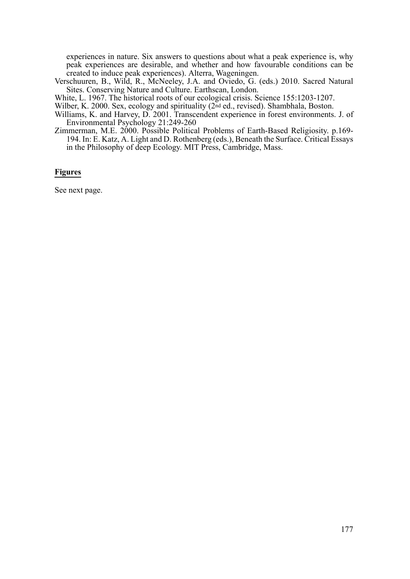experiences in nature. Six answers to questions about what a peak experience is, why peak experiences are desirable, and whether and how favourable conditions can be created to induce peak experiences). Alterra, Wageningen.

Verschuuren, B., Wild, R., McNeeley, J.A. and Oviedo, G. (eds.) 2010. Sacred Natural Sites. Conserving Nature and Culture. Earthscan, London.

White, L. 1967. The historical roots of our ecological crisis. Science 155:1203-1207.

Wilber, K. 2000. Sex, ecology and spirituality (2nd ed., revised). Shambhala, Boston.

Williams, K. and Harvey, D. 2001. Transcendent experience in forest environments. J. of Environmental Psychology 21:249-260

Zimmerman, M.E. 2000. Possible Political Problems of Earth-Based Religiosity. p.169- 194. In: E. Katz, A. Light and D. Rothenberg (eds.), Beneath the Surface. Critical Essays in the Philosophy of deep Ecology. MIT Press, Cambridge, Mass.

### **Figures**

See next page.